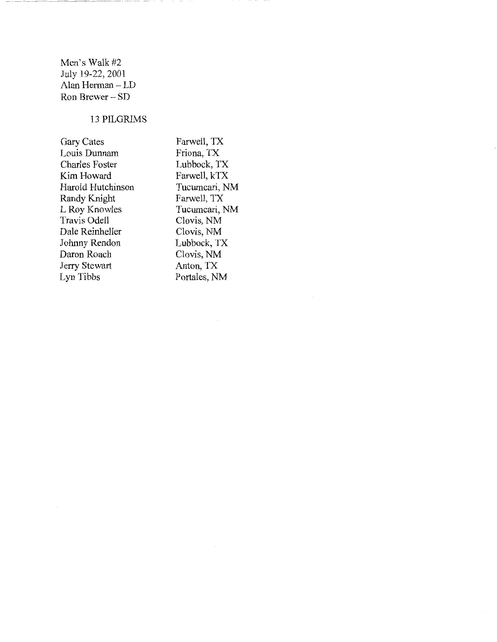Men's Walk #2 July 19-22, 2001 Alan Herman- LD Ron Brewer- SD

## 13 PILGRIMS

Gary Cates Louis Dunnam Charles Foster Kim Howard Harold Hutchinson Randy Knight L Roy Knowles Travis Odell Dale Reinheller Johnny Rendon Daron Roach Jerry Stewart Lyn Tibbs

Farwell, TX Friona, TX Lubbock, TX Farwell, kTX Tucumcari, NM Farwell, TX Tucumcari, NM Clovis, NM Clovis, NM Lubbock, TX Clovis, NM Anton, TX Portales, NM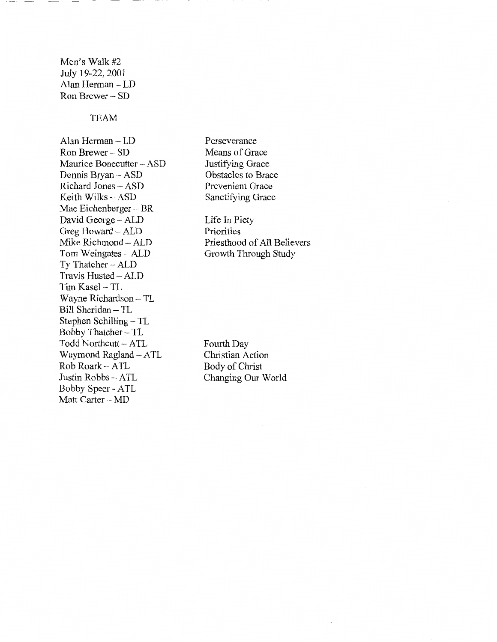Men's Walk #2 July 19-22, 2001 Alan Herman- LD Ron Brewer - SD

## TEAM

Alan Herman- LD Ron Brewer- SD Maurice Bonecutter- ASD Dennis Bryan - ASD Richard Jones - ASD Keith Wilks- ASD Mac Eichenberger – BR David George - ALD Greg Howard- ALD Mike Richmond- ALD Tom Weingates - ALD Ty Thatcher- ALD Travis Husted- ALD Tim Kasel - TL Wayne Richardson- TL Bill Sheridan- TL Stephen Schilling - TL Bobby Thatcher- TL Todd Northcutt- ATL Waymond Ragland- ATL Rob Roark- ATL Justin Robbs - ATL Bobby Speer - ATL Matt Carter - MD

Perseverance Means of Grace Justifying Grace Obstacles to Brace Prevenient Grace Sanctifying Grace

Life In Piety Priorities Priesthood of All Believers Growth Through Study

Fourth Day Christian Action Body of Christ Changing Our World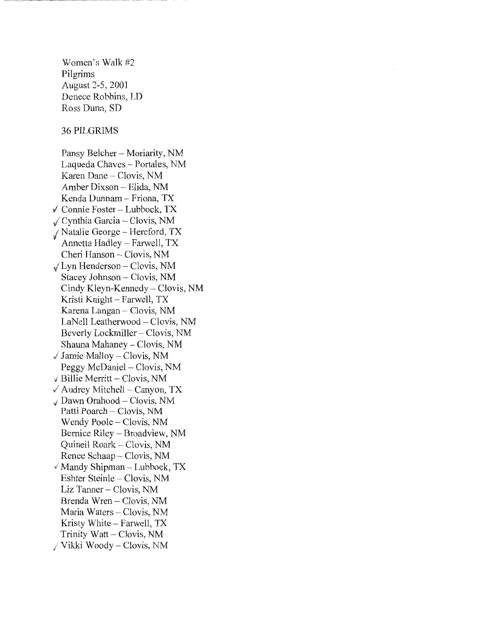Women's Walk #2 Pilgrims August 2-5, 2001 Denece Robbins, LD Ross Dunn, SD

36 PILGRlMS

Pansy Belcher – Moriarity, NM Laqueda Chaves - Portales, NM Karen Dane – Clovis, NM Amber Dixson - Elida, NM Kenda Dunnam- Friona, TX  $\checkmark$  Connie Foster - Lubbock, TX Cynthia Garcia- Clovis, NM / Natalie George - Hereford, TX 'I Annetta Hadley- Farwell, TX Cheri Hanson- Clovis, NM  $\sqrt{L}$ yn Henderson – Clovis, NM Stacey Johnson- Clovis, NM Cindy Kleyn-Kennedy- Clovis, NM Kristi Knight- Farwell, TX Karena Langan- Clovis, NM LaNell Leatherwood- Clovis, NM Beverly Lockmiller – Clovis, NM Shauna Mahaney – Clovis, NM  $\sqrt{J}$  Jamie Malloy – Clovis, NM Peggy McDaniel – Clovis, NM  $\sqrt{}$  Billie Merritt - Clovis, NM  $\sqrt{\phantom{a}}$  Audrey Mitchell – Canyon, TX l Dawn Orahood - Clovis, NM Patti Poarch- Clovis, NM Wendy Poole – Clovis, NM Bernice Riley - Broadview, NM Quineil Roark - Clovis, NM Renee Schaap – Clovis, NM  $\sqrt{s}$  Mandy Shipman – Lubbock, TX Eshter Steinle - Clovis, NM Liz Tanner- Clovis, NM Brenda Wren- Clovis, NM Maria Waters - Clovis, NM Kristy White- Farwell, TX Trinity Watt- Clovis, NM / Vikki Woody- Clovis, NM